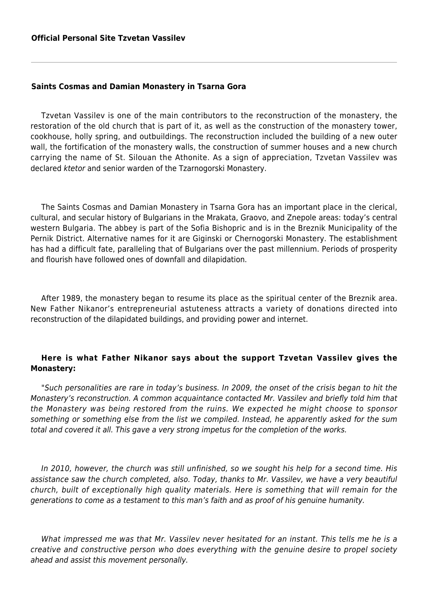## **Saints Cosmas and Damian Monastery in Tsarna Gora**

Tzvetan Vassilev is one of the main contributors to the reconstruction of the monastery, the restoration of the old church that is part of it, as well as the construction of the monastery tower, cookhouse, holly spring, and outbuildings. The reconstruction included the building of a new outer wall, the fortification of the monastery walls, the construction of summer houses and a new church carrying the name of St. Silouan the Athonite. As a sign of appreciation, Tzvetan Vassilev was declared ktetor and senior warden of the Tzarnogorski Monastery.

The Saints Cosmas and Damian Monastery in Tsarna Gora has an important place in the clerical, cultural, and secular history of Bulgarians in the Mrakata, Graovo, and Znepole areas: today's central western Bulgaria. The abbey is part of the Sofia Bishopric and is in the Breznik Municipality of the Pernik District. Alternative names for it are Giginski or Chernogorski Monastery. The establishment has had a difficult fate, paralleling that of Bulgarians over the past millennium. Periods of prosperity and flourish have followed ones of downfall and dilapidation.

After 1989, the monastery began to resume its place as the spiritual center of the Breznik area. New Father Nikanor's entrepreneurial astuteness attracts a variety of donations directed into reconstruction of the dilapidated buildings, and providing power and internet.

## **Here is what Father Nikanor says about the support Tzvetan Vassilev gives the Monastery:**

"Such personalities are rare in today's business. In 2009, the onset of the crisis began to hit the Monastery's reconstruction. A common acquaintance contacted Mr. Vassilev and briefly told him that the Monastery was being restored from the ruins. We expected he might choose to sponsor something or something else from the list we compiled. Instead, he apparently asked for the sum total and covered it all. This gave a very strong impetus for the completion of the works.

In 2010, however, the church was still unfinished, so we sought his help for a second time. His assistance saw the church completed, also. Today, thanks to Mr. Vassilev, we have a very beautiful church, built of exceptionally high quality materials. Here is something that will remain for the generations to come as a testament to this man's faith and as proof of his genuine humanity.

What impressed me was that Mr. Vassilev never hesitated for an instant. This tells me he is a creative and constructive person who does everything with the genuine desire to propel society ahead and assist this movement personally.